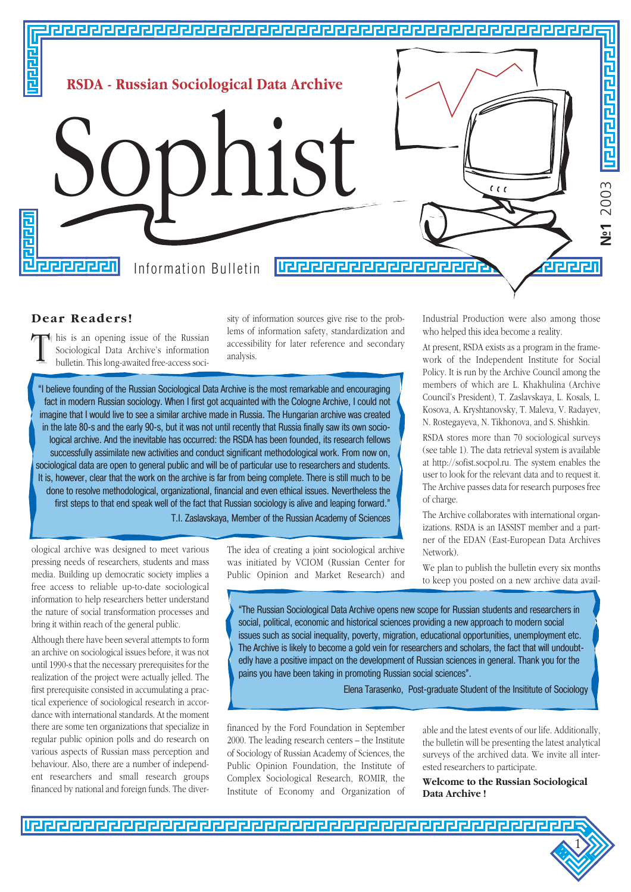

## **Dear Readers!**

T his is an opening issue of the Russian Sociological Data Archive's information bulletin. This long-awaited free-access soci-

sity of information sources give rise to the problems of information safety, standardization and accessibility for later reference and secondary analysis.

"I believe founding of the Russian Sociological Data Archive is the most remarkable and encouraging fact in modern Russian sociology. When I first got acquainted with the Cologne Archive, I could not imagine that I would live to see a similar archive made in Russia. The Hungarian archive was created in the late 80-s and the early 90-s, but it was not until recently that Russia finally saw its own sociological archive. And the inevitable has occurred: the RSDA has been founded, its research fellows successfully assimilate new activities and conduct significant methodological work. From now on, sociological data are open to general public and will be of particular use to researchers and students. It is, however, clear that the work on the archive is far from being complete. There is still much to be done to resolve methodological, organizational, financial and even ethical issues. Nevertheless the first steps to that end speak well of the fact that Russian sociology is alive and leaping forward."

T.I. Zaslavskaya, Member of the Russian Academy of Sciences

ological archive was designed to meet various pressing needs of researchers, students and mass media. Building up democratic society implies a free access to reliable up-to-date sociological information to help researchers better understand the nature of social transformation processes and bring it within reach of the general public.

Although there have been several attempts to form an archive on sociological issues before, it was not until 1990-s that the necessary prerequisites for the realization of the project were actually jelled. The first prerequisite consisted in accumulating a practical experience of sociological research in accordance with international standards. At the moment there are some ten organizations that specialize in regular public opinion polls and do research on various aspects of Russian mass perception and behaviour. Also, there are a number of independent researchers and small research groups financed by national and foreign funds. The diverThe idea of creating a joint sociological archive was initiated by VCIOM (Russian Center for Public Opinion and Market Research) and Industrial Production were also among those who helped this idea become a reality.

At present, RSDA exists as a program in the framework of the Independent Institute for Social Policy. It is run by the Archive Council among the members of which are L. Khakhulina (Archive Council's President), T. Zaslavskaya, L. Kosals, L. Kosova, A. Kryshtanovsky, T. Maleva, V. Radayev, N. Rostegayeva, N. Tikhonova, and S. Shishkin.

RSDA stores more than 70 sociological surveys (see table 1). The data retrieval system is available at http://sofist.socpol.ru. The system enables the user to look for the relevant data and to request it. The Archive passes data for research purposes free of charge.

The Archive collaborates with international organizations. RSDA is an IASSIST member and a partner of the EDAN (East-European Data Archives Network).

We plan to publish the bulletin every six months to keep you posted on a new archive data avail-

"The Russian Sociological Data Archive opens new scope for Russian students and researchers in social, political, economic and historical sciences providing a new approach to modern social issues such as social inequality, poverty, migration, educational opportunities, unemployment etc. The Archive is likely to become a gold vein for researchers and scholars, the fact that will undoubtedly have a positive impact on the development of Russian sciences in general. Thank you for the pains you have been taking in promoting Russian social sciences".

Elena Tarasenko, Post-graduate Student of the Insititute of Sociology

financed by the Ford Foundation in September 2000. The leading research centers – the Institute of Sociology of Russian Academy of Sciences, the Public Opinion Foundation, the Institute of Complex Sociological Research, ROMIR, the Institute of Economy and Organization of

able and the latest events of our life. Additionally, the bulletin will be presenting the latest analytical surveys of the archived data. We invite all interested researchers to participate.

**Welcome to the Russian Sociological Data Archive !**

1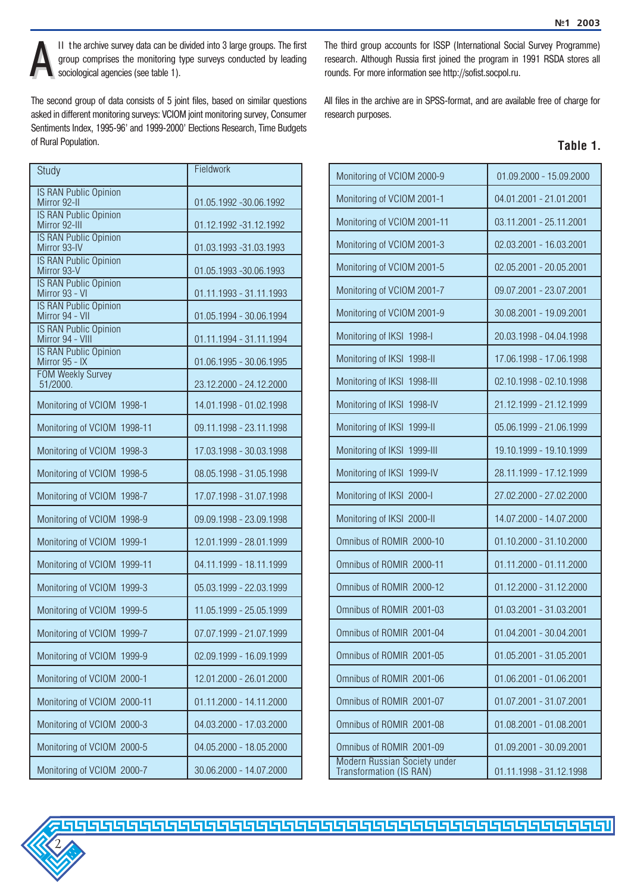

II the archive survey data can be divided into 3 large groups. The first group comprises the monitoring type surveys conducted by leading sociological agencies (see table 1). group comprises the monitoring type surveys conducted by leading sociological agencies (see table 1).

The second group of data consists of 5 joint files, based on similar questions asked in different monitoring surveys: VCIOM joint monitoring survey, Consumer Sentiments Index, 1995-96' and 1999-2000' Elections Research, Time Budgets of Rural Population.

| Study                                            | Fieldwork               |
|--------------------------------------------------|-------------------------|
| <b>IS RAN Public Opinion</b><br>Mirror 92-II     | 01.05.1992 -30.06.1992  |
| <b>IS RAN Public Opinion</b><br>Mirror 92-III    | 01.12.1992 -31.12.1992  |
| <b>IS RAN Public Opinion</b><br>Mirror 93-IV     | 01.03.1993 -31.03.1993  |
| <b>IS RAN Public Opinion</b><br>Mirror 93-V      | 01.05.1993 -30.06.1993  |
| <b>IS RAN Public Opinion</b><br>Mirror 93 - VI   | 01.11.1993 - 31.11.1993 |
| <b>IS RAN Public Opinion</b><br>Mirror 94 - VII  | 01.05.1994 - 30.06.1994 |
| <b>IS RAN Public Opinion</b><br>Mirror 94 - VIII | 01.11.1994 - 31.11.1994 |
| <b>IS RAN Public Opinion</b><br>Mirror 95 - IX   | 01.06.1995 - 30.06.1995 |
| <b>FOM Weekly Survey</b><br>51/2000.             | 23.12.2000 - 24.12.2000 |
| Monitoring of VCIOM 1998-1                       | 14.01.1998 - 01.02.1998 |
| Monitoring of VCIOM 1998-11                      | 09.11.1998 - 23.11.1998 |
| Monitoring of VCIOM 1998-3                       | 17.03.1998 - 30.03.1998 |
| Monitoring of VCIOM 1998-5                       | 08.05.1998 - 31.05.1998 |
| Monitoring of VCIOM 1998-7                       | 17.07.1998 - 31.07.1998 |
| Monitoring of VCIOM 1998-9                       | 09.09.1998 - 23.09.1998 |
| Monitoring of VCIOM 1999-1                       | 12.01.1999 - 28.01.1999 |
| Monitoring of VCIOM 1999-11                      | 04.11.1999 - 18.11.1999 |
| Monitoring of VCIOM 1999-3                       | 05.03.1999 - 22.03.1999 |
| Monitoring of VCIOM 1999-5                       | 11.05.1999 - 25.05.1999 |
| Monitoring of VCIOM 1999-7                       | 07.07.1999 - 21.07.1999 |
| Monitoring of VCIOM 1999-9                       | 02.09.1999 - 16.09.1999 |
| Monitoring of VCIOM 2000-1                       | 12.01.2000 - 26.01.2000 |
| Monitoring of VCIOM 2000-11                      | 01.11.2000 - 14.11.2000 |
| Monitoring of VCIOM 2000-3                       | 04.03.2000 - 17.03.2000 |
| Monitoring of VCIOM 2000-5                       | 04.05.2000 - 18.05.2000 |
| Monitoring of VCIOM 2000-7                       | 30.06.2000 - 14.07.2000 |

The third group accounts for ISSP (International Social Survey Programme) research. Although Russia first joined the program in 1991 RSDA stores all rounds. For more information see http://sofist.socpol.ru.

All files in the archive are in SPSS-format, and are available free of charge for research purposes.

| ıhlı<br>а |  |
|-----------|--|
|-----------|--|

| Monitoring of VCIOM 2000-9                              | 01.09.2000 - 15.09.2000 |
|---------------------------------------------------------|-------------------------|
| Monitoring of VCIOM 2001-1                              | 04.01.2001 - 21.01.2001 |
| Monitoring of VCIOM 2001-11                             | 03.11.2001 - 25.11.2001 |
| Monitoring of VCIOM 2001-3                              | 02.03.2001 - 16.03.2001 |
| Monitoring of VCIOM 2001-5                              | 02.05.2001 - 20.05.2001 |
| Monitoring of VCIOM 2001-7                              | 09.07.2001 - 23.07.2001 |
| Monitoring of VCIOM 2001-9                              | 30.08.2001 - 19.09.2001 |
| Monitoring of IKSI 1998-I                               | 20.03.1998 - 04.04.1998 |
| Monitoring of IKSI 1998-II                              | 17.06.1998 - 17.06.1998 |
| Monitoring of IKSI 1998-III                             | 02.10.1998 - 02.10.1998 |
| Monitoring of IKSI 1998-IV                              | 21.12.1999 - 21.12.1999 |
| Monitoring of IKSI 1999-II                              | 05.06.1999 - 21.06.1999 |
| Monitoring of IKSI 1999-III                             | 19.10.1999 - 19.10.1999 |
| Monitoring of IKSI 1999-IV                              | 28.11.1999 - 17.12.1999 |
| Monitoring of IKSI 2000-I                               | 27.02.2000 - 27.02.2000 |
| Monitoring of IKSI 2000-II                              | 14.07.2000 - 14.07.2000 |
| Omnibus of ROMIR 2000-10                                | 01.10.2000 - 31.10.2000 |
| Omnibus of ROMIR 2000-11                                | 01.11.2000 - 01.11.2000 |
| Omnibus of ROMIR 2000-12                                | 01.12.2000 - 31.12.2000 |
| Omnibus of ROMIR 2001-03                                | 01.03.2001 - 31.03.2001 |
| Omnibus of ROMIR 2001-04                                | 01.04.2001 - 30.04.2001 |
| Omnibus of ROMIR 2001-05                                | 01.05.2001 - 31.05.2001 |
| Omnibus of ROMIR 2001-06                                | 01.06.2001 - 01.06.2001 |
| Omnibus of ROMIR 2001-07                                | 01.07.2001 - 31.07.2001 |
| Omnibus of ROMIR 2001-08                                | 01.08.2001 - 01.08.2001 |
| Omnibus of ROMIR 2001-09                                | 01.09.2001 - 30.09.2001 |
| Modern Russian Society under<br>Transformation (IS RAN) | 01.11.1998 - 31.12.1998 |

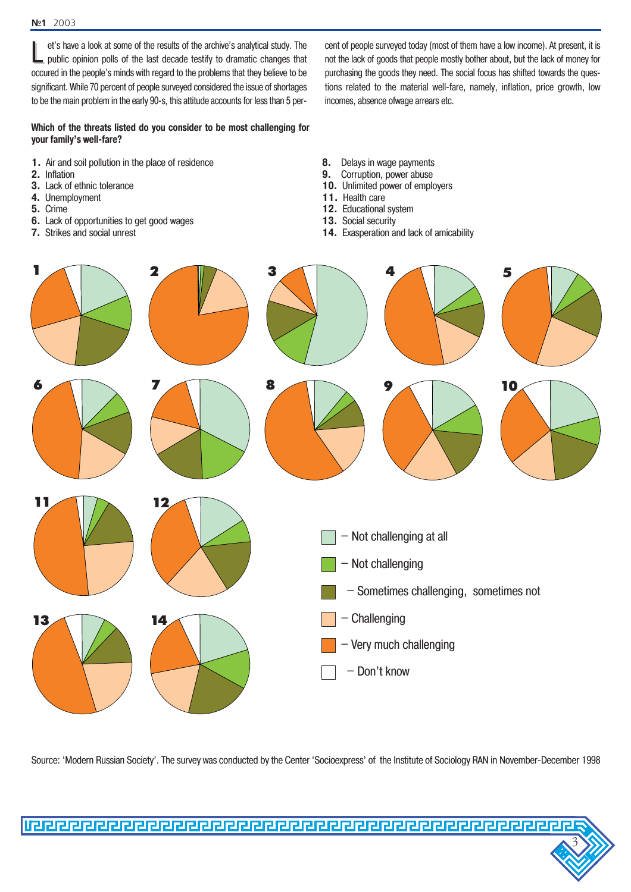L et's have a look at some of the results of the archive's analytical study. The public opinion polls of the last decade testify to dramatic changes that occured in the people's minds with regard to the problems that they believe to be significant. While 70 percent of people surveyed considered the issue of shortages to be the main problem in the early 90-s, this attitude accounts for less than 5 per-

**Which of the threats listed do you consider to be most challenging for your family's well-fare?** 

- **1.** Air and soil pollution in the place of residence
- **2.** Inflation
- **3.** Lack of ethnic tolerance
- **4.** Unemployment
- **5.** Crime
- **6.** Lack of opportunities to get good wages
- **7.** Strikes and social unrest
- **8.** Delays in wage payments
- **9.** Corruption, power abuse
- **10.** Unlimited power of employers

incomes, absence ofwage arrears etc.

- **11.** Health care
- **12.** Educational system
- **13.** Social security
- 14. Exasperation and lack of amicability

cent of people surveyed today (most of them have a low income). At present, it is not the lack of goods that people mostly bother about, but the lack of money for purchasing the goods they need. The social focus has shifted towards the questions related to the material well-fare, namely, inflation, price growth, low



Source: 'Modern Russian Society'. The survey was conducted by the Center 'Socioexpress' of the Institute of Sociology RAN in November-December 1998